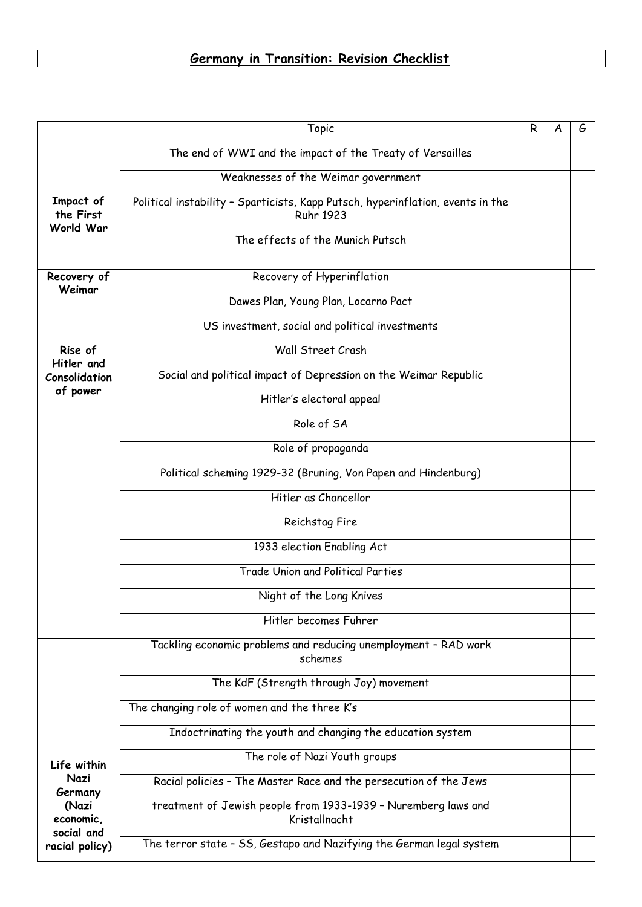## **Germany in Transition: Revision Checklist**

|                                                     | Topic                                                                                               | R | G |
|-----------------------------------------------------|-----------------------------------------------------------------------------------------------------|---|---|
|                                                     | The end of WWI and the impact of the Treaty of Versailles                                           |   |   |
|                                                     | Weaknesses of the Weimar government                                                                 |   |   |
| Impact of<br>the First<br>World War                 | Political instability - Sparticists, Kapp Putsch, hyperinflation, events in the<br><b>Ruhr 1923</b> |   |   |
|                                                     | The effects of the Munich Putsch                                                                    |   |   |
| Recovery of<br>Weimar                               | Recovery of Hyperinflation                                                                          |   |   |
|                                                     | Dawes Plan, Young Plan, Locarno Pact                                                                |   |   |
|                                                     | US investment, social and political investments                                                     |   |   |
| Rise of<br>Hitler and                               | Wall Street Crash                                                                                   |   |   |
| Consolidation                                       | Social and political impact of Depression on the Weimar Republic                                    |   |   |
| of power                                            | Hitler's electoral appeal                                                                           |   |   |
|                                                     | Role of SA                                                                                          |   |   |
|                                                     | Role of propaganda                                                                                  |   |   |
|                                                     | Political scheming 1929-32 (Bruning, Von Papen and Hindenburg)                                      |   |   |
|                                                     | Hitler as Chancellor                                                                                |   |   |
|                                                     | Reichstag Fire                                                                                      |   |   |
|                                                     | 1933 election Enabling Act                                                                          |   |   |
|                                                     | Trade Union and Political Parties                                                                   |   |   |
|                                                     | Night of the Long Knives                                                                            |   |   |
|                                                     | Hitler becomes Fuhrer                                                                               |   |   |
|                                                     | Tackling economic problems and reducing unemployment - RAD work<br>schemes                          |   |   |
|                                                     | The KdF (Strength through Joy) movement                                                             |   |   |
|                                                     | The changing role of women and the three K's                                                        |   |   |
|                                                     | Indoctrinating the youth and changing the education system                                          |   |   |
| Life within                                         | The role of Nazi Youth groups                                                                       |   |   |
| Nazi<br>Germany<br>(Nazi<br>economic,<br>social and | Racial policies - The Master Race and the persecution of the Jews                                   |   |   |
|                                                     | treatment of Jewish people from 1933-1939 - Nuremberg laws and<br>Kristallnacht                     |   |   |
| racial policy)                                      | The terror state - SS, Gestapo and Nazifying the German legal system                                |   |   |